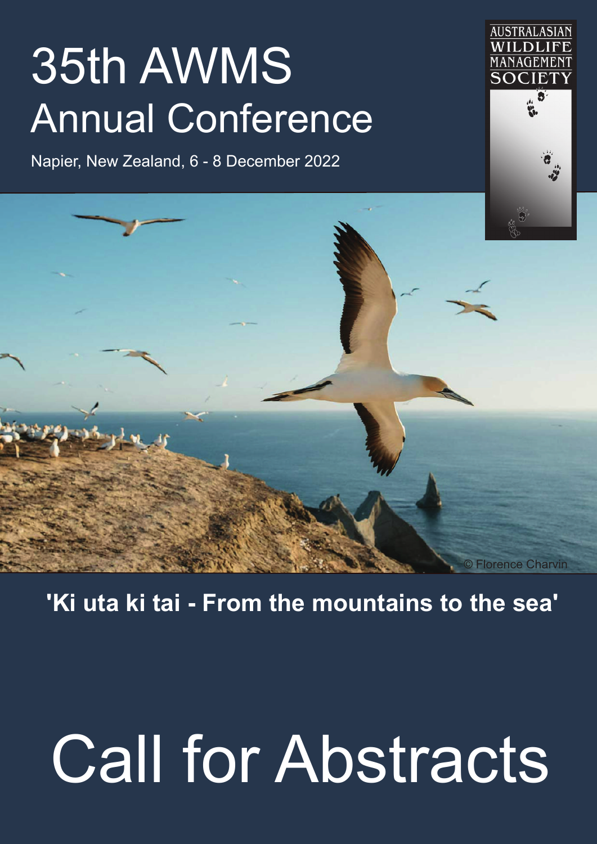## 35th AWMS Annual Conference

Napier, New Zealand, 6 - 8 December 2022



NR'

## **'Ki uta ki tai From the mountains to the sea'**

# Call for Abstracts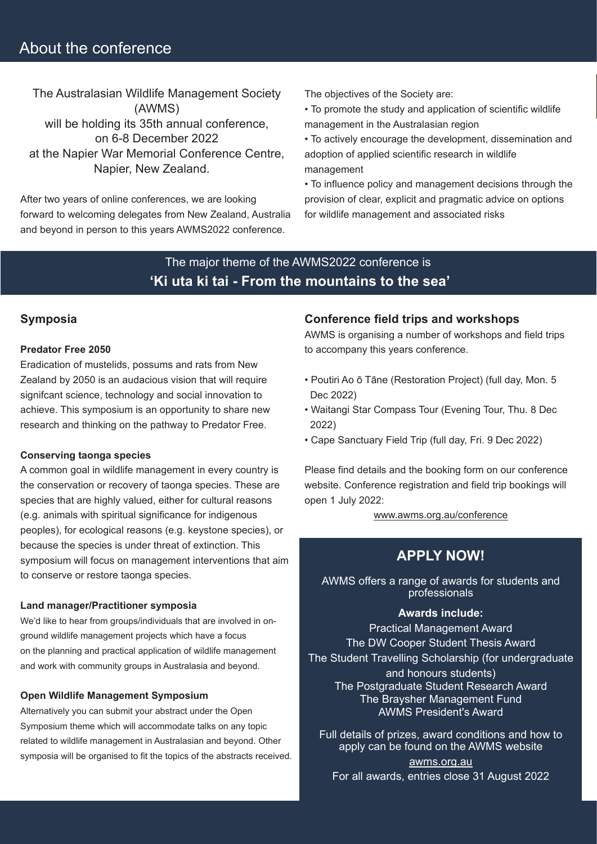$$
\$. + ; 9:8 2 9/ 4 %{2 2+ 4' -+3 +4: #5}/+?\n% #\n= /2(+.52/4- /:9 : . '44; '2) 54, +8+4)+\n54 + )+3 (+8\n': . . + '6/+8%' 8 +3 58' 2 54, +8+4)+\n6/+8 += 8+' 2 4*
$$

 $4.1 + 8 = 5$  ?+' 89 5, 5424+ ) 54, +8+4) +9 = + ' 8+ 2551/4  $'$  4\* (+?54\* /4 6+8954 :5 : /9 ?+' 89 % # ) 54, +8+4) +

 $$. + 5(0)$ :/<+95, :. + #5)/+:? 8+ A\$5 6853 5: + : . + 9:; \* ? ' 4\* ' 662) ' :/54 5, 9) /+4:/, $/$  =/2 2+  $3'$  4' - +3 +4: /4 : +; 9:8 2 9/ 4 8+- /54 A\$5'):/<+2' +4) 5: 8 - + :. + \* +<+2563 +4: \*/99+3/4':/54 '4\*  $'$  \* 56:/54 5,  $'$  662+\* 9)/+4:/ $/$  8+9+' 8), /4 =/22.+  $3' 4' - +3 +4$ : A\$5 /4.2 +4) + 652) ? ' 4\* 3 ' 4' - +3 +4: \* +) /9/549 : 85; - . : . +  $685 \le 9/54$  5,  $2 \le 8 + 62$ ,  $2 \le 4 \le 68 - 3 \le 0$ ,  $3 \le 0 + 54$  56:/549  $58 = 22 + 3$  ' 4' - +3 +4: ' 4\* ' 995) / :+\* 8919

#### $\text{\$}$ . + 3  $\text{\$}$  (58:. +3 + 5. :. + % #  $354.+8+4)+/9$ "  $\frac{1}{2}$ ) #(  $\frac{1}{2}$ " (\$ (  $\frac{1}{2}$  0  $8\$ "  $\left( \begin{array}{c} 1 \end{array} \right)$  (

"%

& (\$& &

 $8 *$ /)  $1.545$ , 3 ; 9: $+2*96599$ ; 3 9  $4*8:9.853$  +  $8+'$  24\* (? /9' 4'; \*')/5; 9 </9/54 :. ': =/228+7; /8+  $9/- 4/$ ,  $(4: 9)$   $(+4) + (+)$ .  $45\% - ?$   $4* 95$   $/ 2/445 < ./54$ : 5  $'$ ). /+<+ \$. /9 9?3 659/; 3 /9 ' 4 56658; 4/:? :5 9. ' 8+ 4+=  $8+9+'$  8  $'$  4\* :  $/41/4-54$  :  $+6'$  : =  $'$  ? :5 !  $8+''$  : 58  $8++$ 

#### $$#'$  & # (\$# '%  $\sim$  1

 $153354 - 5'2/4 = 224 + 3'4 - 3 + 4'$ .  $/4 + < +8$ ? 5. 4.8?  $/9$  $\therefore$  +  $\big)$  549+8  $\therefore$  /54 588+ $\big)$  5 < +8? 5,  $\therefore$  54 -  $\big)$  96+ $\big)$ /+9 \$. +9+ $\big|$  8+  $96+)$ /+9:  $': '8 + ./- .2 < 2 + * +-. +8.58$ ); 2; 8 28 + 9549  $+$  -  $'$  4/3  $'$  29 = /: 96/8:;  $'$  29/-4/,  $'$  4) + .58/4\*/- +45; 9  $6+562-9$ ,  $58+1525-1$   $28+19549$  + -  $1+29:54+96+1/49$  58  $(+)'$ ; 9+: + 96+)/+9/9; 4\* +8: 8+' : 5, +>:/4):/54 \$./9 9?3 659/; 3 =  $/2$ , 5); 9 54 3 ' 4' - +3 +4:  $/4$ : +8 +4:  $/549$  :. ': '  $/3$ :5) 549+8<+ 588+9:58+ :' 54-' 96+) /+9

# " # & & ((\$# &', " %) %+C 21+:5. + 8.853 - 85: 69/4 \* / - " 2 : ' : ' 8 /4 - 52 + \* /4 54  $-85$ ; 4\* =  $/2$  2+3 '4' - +3 +4: 6850+) :9 = .  $/$ .  $\cdot$  ' <+ ', 5) ; 9  $54 : +6244/4 - 4*68$   $\binom{?}{2}$  662  $\binom{?}{54}$  5,  $\binom{?}{24}$  3  $\binom{4}{1}$  -  $\binom{+3}{1}$  +4:  $'4^*$  = 581 = /.. ) 53 3 : 4/:? - 85: 69 /4 : 9:8 2 9/ ' 4\* ( + ? 54\*

 $\%$  # !! #  $\#$  (, "  $\%$ ")" 2+84' :/<+2' ?5; ) ' 4 9; ( 3 /: ?5; 8' ( 9:8 ) : ; 4\* +8: + 6+4 # ?3 659/: 3 :  $+3 + 2$ ,  $-2$ )  $5335$  \*' : + :' 29 54 ' 4? :56/  $8+2:+^*$  :5 = /2 2 + 3 ' 4' - +3 +4; /4 : 9:8 2 9/ 4 ' 4\* ( + ?54\* : +8 9?3 659/ $=$ /2(+58 '4/9+\* :5 ./: .. + :56/) 95. .. + ' (9:8):98+) +/<+\*

 $$# 8 # 1 (8\% # + $8' $\%$  $\%$  # /9 58 ' 4/9/4- ' 4: 3 (+85, =5819, 569 ' 4\*, /+2: 869  $(5')$ ) 53 6' 4? :  $/9$  ?+' 89 ) 54, +8+4) +

A! 5; :/8 5 E \$D4+ " +9:58 :/54 ! 850+): ; 2 \*' ? 54  $+)$ A%' /:' 4-/#:' 8 536' 99 \$5; 8 <+4/4- \$5; 8 \$.;  $+)$ 

A '6+#'4):; '8? /+2 \$86 ,; 2<sup>\*</sup>'? 8  $^{+}$ 

 $12^{1}9+14^{*}+12^{*}4^{*}$  : + (551/4- .583 54 5; 8) 54. +8+4) +  $=+(9/-+54,+8+4)+8+7.8$   $(54 \cdot 4 \cdot 4 \cdot 7.8)$   $(551/4-9=2)$  $56+4$  : 2

#### $=$  = =  $'$  = 3 9 58  $'$ ; ) 54, +8+4) +

% # 5..+89  $84-+5$ .  $= 89.589$ .:  $*+4.94$ 685.+99/54' 29  $+ 8'$  # !)  $(8)$ :/)  $2$   $4 - 3 + 4$ : = 8  $$. +$  % 556+8#:: \* +4: \$. +9/9 = 8  $\frac{1}{2}$ , + #:; \* +4:  $\frac{1}{2}$ 8 < +224 - #). 52 89. 6 , 58;  $\frac{4*}{1*}$  +8 8 \*; ': +  $' 4$ \* . 545; 89 9:; \* +4:9  $$. + 159:- 8 *; ' : + #:: * +4: " +9+' 8. = '8"$  $$. + 8$  ?9. +8  $'$  4' - +3 +4:  $: 4^*$ % # !  $8+9$ /\*  $+4$ : 9 = 8  $: 2^* : 2^* : 2^* \rightarrow 5.68@9$  ' = ' 8'  $.54^* / 549$  ' 4' . 5 = :5  $1662$ )  $4( + .5; 4* 54: + % + 16)$   $\frac{4}{10} + \frac{1}{10}$  $' = 3958$  ;

> $58'$   $2'$  =  $89 +4.8 + 9$   $29 +$  $: - : 9:$